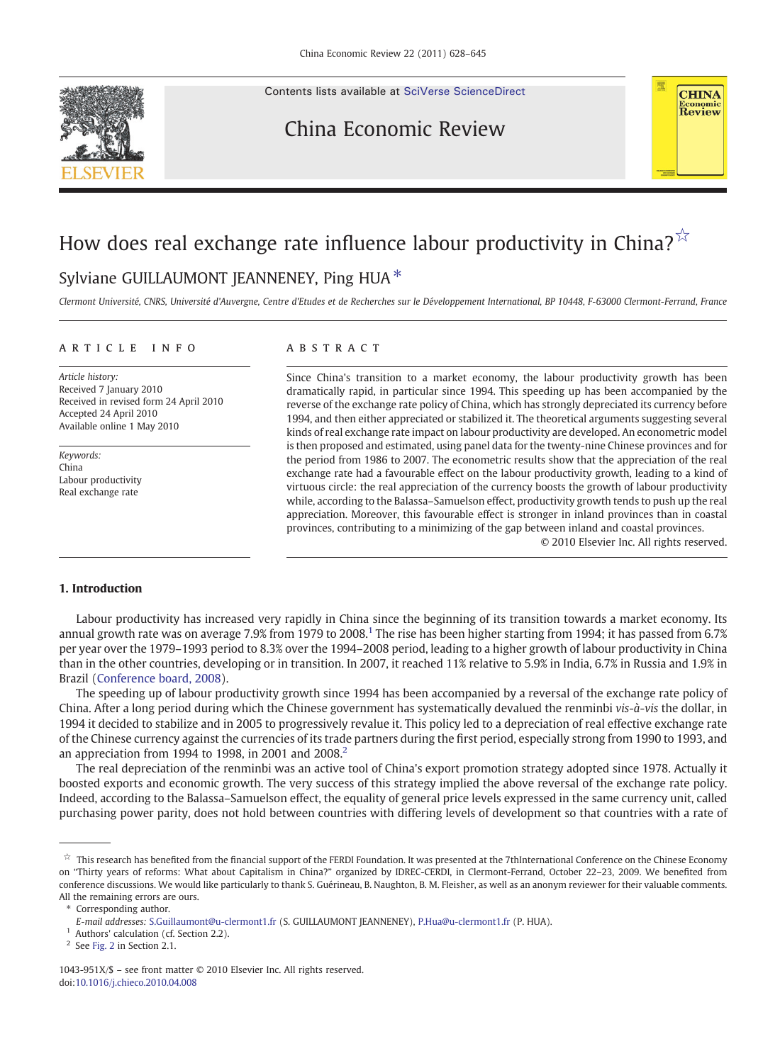Contents lists available at [SciVerse ScienceDirect](http://www.sciencedirect.com/science/journal/1043951X)



China Economic Review



# How does real exchange rate influence labour productivity in China? $\vec{x}$

## Sylviane GUILLAUMONT JEANNENEY, Ping HUA $*$

Clermont Université, CNRS, Université d'Auvergne, Centre d'Etudes et de Recherches sur le Développement International, BP 10448, F-63000 Clermont-Ferrand, France

### article info abstract

Article history: Received 7 January 2010 Received in revised form 24 April 2010 Accepted 24 April 2010 Available online 1 May 2010

Keywords: China Labour productivity Real exchange rate

Since China's transition to a market economy, the labour productivity growth has been dramatically rapid, in particular since 1994. This speeding up has been accompanied by the reverse of the exchange rate policy of China, which has strongly depreciated its currency before 1994, and then either appreciated or stabilized it. The theoretical arguments suggesting several kinds of real exchange rate impact on labour productivity are developed. An econometric model is then proposed and estimated, using panel data for the twenty-nine Chinese provinces and for the period from 1986 to 2007. The econometric results show that the appreciation of the real exchange rate had a favourable effect on the labour productivity growth, leading to a kind of virtuous circle: the real appreciation of the currency boosts the growth of labour productivity while, according to the Balassa–Samuelson effect, productivity growth tends to push up the real appreciation. Moreover, this favourable effect is stronger in inland provinces than in coastal provinces, contributing to a minimizing of the gap between inland and coastal provinces. © 2010 Elsevier Inc. All rights reserved.

### 1. Introduction

Labour productivity has increased very rapidly in China since the beginning of its transition towards a market economy. Its annual growth rate was on average 7.9% from 1979 to 2008.<sup>1</sup> The rise has been higher starting from 1994; it has passed from 6.7% per year over the 1979–1993 period to 8.3% over the 1994–2008 period, leading to a higher growth of labour productivity in China than in the other countries, developing or in transition. In 2007, it reached 11% relative to 5.9% in India, 6.7% in Russia and 1.9% in Brazil ([Conference board, 2008](#page--1-0)).

The speeding up of labour productivity growth since 1994 has been accompanied by a reversal of the exchange rate policy of China. After a long period during which the Chinese government has systematically devalued the renminbi vis-à-vis the dollar, in 1994 it decided to stabilize and in 2005 to progressively revalue it. This policy led to a depreciation of real effective exchange rate of the Chinese currency against the currencies of its trade partners during the first period, especially strong from 1990 to 1993, and an appreciation from 1994 to 1998, in 2001 and 2008.<sup>2</sup>

The real depreciation of the renminbi was an active tool of China's export promotion strategy adopted since 1978. Actually it boosted exports and economic growth. The very success of this strategy implied the above reversal of the exchange rate policy. Indeed, according to the Balassa–Samuelson effect, the equality of general price levels expressed in the same currency unit, called purchasing power parity, does not hold between countries with differing levels of development so that countries with a rate of

 $\dot{\tilde{x}}$  This research has benefited from the financial support of the FERDI Foundation. It was presented at the 7thInternational Conference on the Chinese Economy on "Thirty years of reforms: What about Capitalism in China?" organized by IDREC-CERDI, in Clermont-Ferrand, October 22–23, 2009. We benefited from conference discussions. We would like particularly to thank S. Guérineau, B. Naughton, B. M. Fleisher, as well as an anonym reviewer for their valuable comments. All the remaining errors are ours.

Corresponding author.

E-mail addresses: [S.Guillaumont@u-clermont1.fr](mailto:S.Guillaumont@u-clermont1.fr) (S. GUILLAUMONT JEANNENEY), [P.Hua@u-clermont1.fr](mailto:P.Hua@u-clermont1.fr) (P. HUA).

<sup>&</sup>lt;sup>1</sup> Authors' calculation (cf. Section 2.2).

<sup>2</sup> See [Fig. 2](#page--1-0) in Section 2.1.

<sup>1043-951</sup>X/\$ – see front matter © 2010 Elsevier Inc. All rights reserved. doi:[10.1016/j.chieco.2010.04.008](http://dx.doi.org/10.1016/j.chieco.2010.04.008)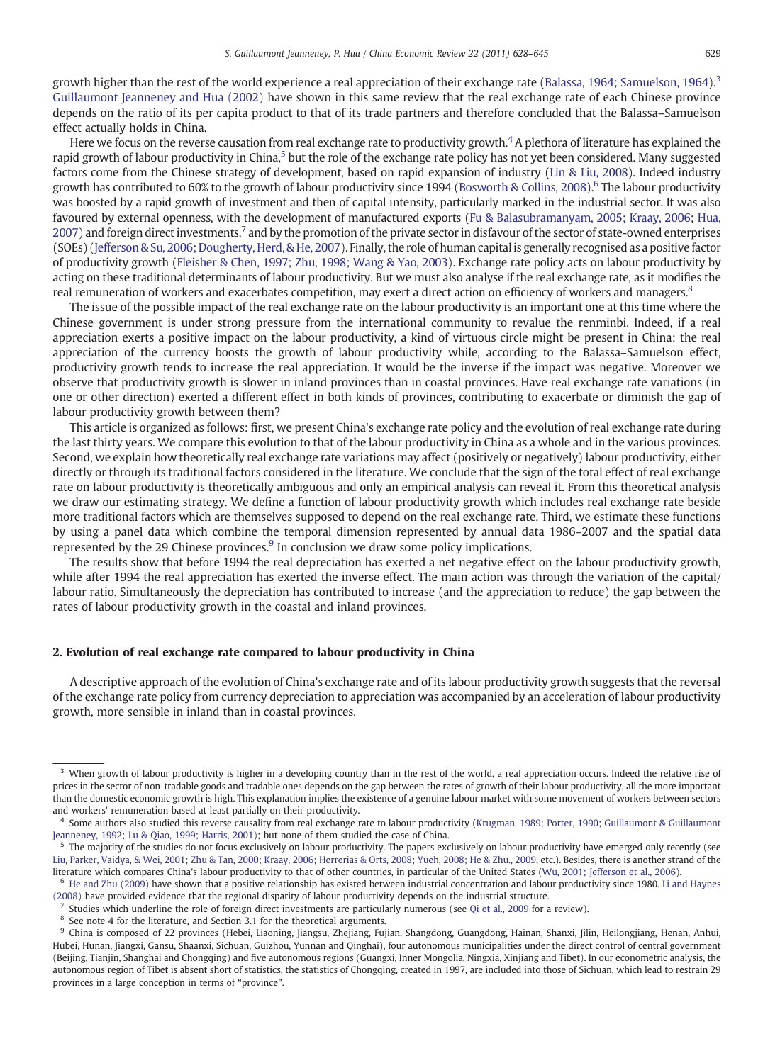growth higher than the rest of the world experience a real appreciation of their exchange rate [\(Balassa, 1964; Samuelson, 1964](#page--1-0)).<sup>3</sup> [Guillaumont Jeanneney and Hua \(2002\)](#page--1-0) have shown in this same review that the real exchange rate of each Chinese province depends on the ratio of its per capita product to that of its trade partners and therefore concluded that the Balassa–Samuelson effect actually holds in China.

Here we focus on the reverse causation from real exchange rate to productivity growth.<sup>4</sup> A plethora of literature has explained the rapid growth of labour productivity in China,<sup>5</sup> but the role of the exchange rate policy has not yet been considered. Many suggested factors come from the Chinese strategy of development, based on rapid expansion of industry ([Lin & Liu, 2008](#page--1-0)). Indeed industry growth has contributed to 60% to the growth of labour productivity since 1994 [\(Bosworth & Collins, 2008](#page--1-0)).<sup>6</sup> The labour productivity was boosted by a rapid growth of investment and then of capital intensity, particularly marked in the industrial sector. It was also favoured by external openness, with the development of manufactured exports ([Fu & Balasubramanyam, 2005; Kraay, 2006;](#page--1-0) [Hua,](#page--1-0) [2007\)](#page--1-0) and foreign direct investments, $7$  and by the promotion of the private sector in disfavour of the sector of state-owned enterprises (SOEs) (Jefferson & Su, [2006; Dougherty, Herd, & He, 2007\)](#page--1-0). Finally, the role of human capitalis generally recognised as a positive factor of productivity growth ([Fleisher & Chen, 1997; Zhu, 1998; Wang & Yao, 2003](#page--1-0)). Exchange rate policy acts on labour productivity by acting on these traditional determinants of labour productivity. But we must also analyse if the real exchange rate, as it modifies the real remuneration of workers and exacerbates competition, may exert a direct action on efficiency of workers and managers.<sup>8</sup>

The issue of the possible impact of the real exchange rate on the labour productivity is an important one at this time where the Chinese government is under strong pressure from the international community to revalue the renminbi. Indeed, if a real appreciation exerts a positive impact on the labour productivity, a kind of virtuous circle might be present in China: the real appreciation of the currency boosts the growth of labour productivity while, according to the Balassa–Samuelson effect, productivity growth tends to increase the real appreciation. It would be the inverse if the impact was negative. Moreover we observe that productivity growth is slower in inland provinces than in coastal provinces. Have real exchange rate variations (in one or other direction) exerted a different effect in both kinds of provinces, contributing to exacerbate or diminish the gap of labour productivity growth between them?

This article is organized as follows: first, we present China's exchange rate policy and the evolution of real exchange rate during the last thirty years. We compare this evolution to that of the labour productivity in China as a whole and in the various provinces. Second, we explain how theoretically real exchange rate variations may affect (positively or negatively) labour productivity, either directly or through its traditional factors considered in the literature. We conclude that the sign of the total effect of real exchange rate on labour productivity is theoretically ambiguous and only an empirical analysis can reveal it. From this theoretical analysis we draw our estimating strategy. We define a function of labour productivity growth which includes real exchange rate beside more traditional factors which are themselves supposed to depend on the real exchange rate. Third, we estimate these functions by using a panel data which combine the temporal dimension represented by annual data 1986–2007 and the spatial data represented by the 29 Chinese provinces.9 In conclusion we draw some policy implications.

The results show that before 1994 the real depreciation has exerted a net negative effect on the labour productivity growth, while after 1994 the real appreciation has exerted the inverse effect. The main action was through the variation of the capital/ labour ratio. Simultaneously the depreciation has contributed to increase (and the appreciation to reduce) the gap between the rates of labour productivity growth in the coastal and inland provinces.

### 2. Evolution of real exchange rate compared to labour productivity in China

A descriptive approach of the evolution of China's exchange rate and of its labour productivity growth suggests that the reversal of the exchange rate policy from currency depreciation to appreciation was accompanied by an acceleration of labour productivity growth, more sensible in inland than in coastal provinces.

<sup>&</sup>lt;sup>3</sup> When growth of labour productivity is higher in a developing country than in the rest of the world, a real appreciation occurs. Indeed the relative rise of prices in the sector of non-tradable goods and tradable ones depends on the gap between the rates of growth of their labour productivity, all the more important than the domestic economic growth is high. This explanation implies the existence of a genuine labour market with some movement of workers between sectors and workers' remuneration based at least partially on their productivity.

<sup>4</sup> Some authors also studied this reverse causality from real exchange rate to labour productivity ([Krugman, 1989; Porter, 1990; Guillaumont & Guillaumont](#page--1-0) [Jeanneney, 1992; Lu & Qiao, 1999; Harris, 2001\)](#page--1-0); but none of them studied the case of China.

 $5$  The majority of the studies do not focus exclusively on labour productivity. The papers exclusively on labour productivity have emerged only recently (see [Liu, Parker, Vaidya, & Wei, 2001; Zhu & Tan, 2000; Kraay, 2006; Herrerias & Orts, 2008; Yueh, 2008; He & Zhu., 2009](#page--1-0), etc.). Besides, there is another strand of the literature which compares China's labour productivity to that of other countries, in particular of the United States [\(Wu, 2001; Jefferson et al., 2006\)](#page--1-0).

<sup>&</sup>lt;sup>6</sup> [He and Zhu \(2009\)](#page--1-0) have shown that a positive relationship has existed between industrial concentration and labour productivity since 1980. [Li and Haynes](#page--1-0) [\(2008\)](#page--1-0) have provided evidence that the regional disparity of labour productivity depends on the industrial structure.

 $^7$  Studies which underline the role of foreign direct investments are particularly numerous (see [Qi et al., 2009](#page--1-0) for a review).

See note 4 for the literature, and Section 3.1 for the theoretical arguments.

<sup>9</sup> China is composed of 22 provinces (Hebei, Liaoning, Jiangsu, Zhejiang, Fujian, Shangdong, Guangdong, Hainan, Shanxi, Jilin, Heilongjiang, Henan, Anhui, Hubei, Hunan, Jiangxi, Gansu, Shaanxi, Sichuan, Guizhou, Yunnan and Qinghai), four autonomous municipalities under the direct control of central government (Beijing, Tianjin, Shanghai and Chongqing) and five autonomous regions (Guangxi, Inner Mongolia, Ningxia, Xinjiang and Tibet). In our econometric analysis, the autonomous region of Tibet is absent short of statistics, the statistics of Chongqing, created in 1997, are included into those of Sichuan, which lead to restrain 29 provinces in a large conception in terms of "province".